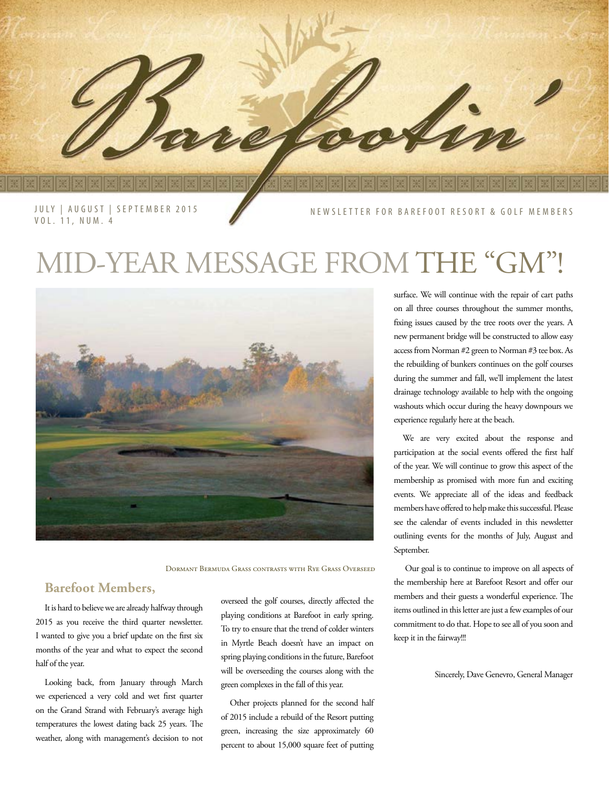JULY | AUGUST | SEPTEMBER 2015 VOL. 11, NUM. 4

NEWSLETTER FOR BAREFOOT RESORT & GOLF MEMBERS

## MID-YEAR MESSAGE FROM THE "GM"!



Dormant Bermuda Grass contrasts with Rye Grass Overseed

## **Barefoot Members,**

It is hard to believe we are already halfway through 2015 as you receive the third quarter newsletter. I wanted to give you a brief update on the first six months of the year and what to expect the second half of the year.

Looking back, from January through March we experienced a very cold and wet first quarter on the Grand Strand with February's average high temperatures the lowest dating back 25 years. The weather, along with management's decision to not overseed the golf courses, directly affected the playing conditions at Barefoot in early spring. To try to ensure that the trend of colder winters in Myrtle Beach doesn't have an impact on spring playing conditions in the future, Barefoot will be overseeding the courses along with the green complexes in the fall of this year.

Other projects planned for the second half of 2015 include a rebuild of the Resort putting green, increasing the size approximately 60 percent to about 15,000 square feet of putting surface. We will continue with the repair of cart paths on all three courses throughout the summer months, fixing issues caused by the tree roots over the years. A new permanent bridge will be constructed to allow easy access from Norman #2 green to Norman #3 tee box. As the rebuilding of bunkers continues on the golf courses during the summer and fall, we'll implement the latest drainage technology available to help with the ongoing washouts which occur during the heavy downpours we experience regularly here at the beach.

We are very excited about the response and participation at the social events offered the first half of the year. We will continue to grow this aspect of the membership as promised with more fun and exciting events. We appreciate all of the ideas and feedback members have offered to help make this successful. Please see the calendar of events included in this newsletter outlining events for the months of July, August and September.

 Our goal is to continue to improve on all aspects of the membership here at Barefoot Resort and offer our members and their guests a wonderful experience. The items outlined in this letter are just a few examples of our commitment to do that. Hope to see all of you soon and keep it in the fairway!!!

Sincerely, Dave Genevro, General Manager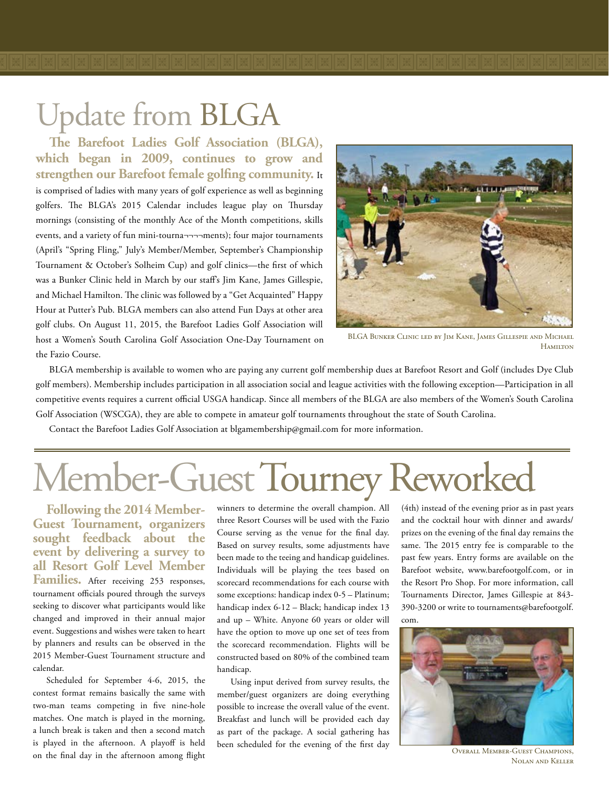**The Barefoot Ladies Golf Association (BLGA), which began in 2009, continues to grow and strengthen our Barefoot female golfing community.** It is comprised of ladies with many years of golf experience as well as beginning golfers. The BLGA's 2015 Calendar includes league play on Thursday mornings (consisting of the monthly Ace of the Month competitions, skills events, and a variety of fun mini-tourna-----ments); four major tournaments (April's "Spring Fling," July's Member/Member, September's Championship Tournament & October's Solheim Cup) and golf clinics—the first of which was a Bunker Clinic held in March by our staff's Jim Kane, James Gillespie, and Michael Hamilton. The clinic was followed by a "Get Acquainted" Happy Hour at Putter's Pub. BLGA members can also attend Fun Days at other area golf clubs. On August 11, 2015, the Barefoot Ladies Golf Association will host a Women's South Carolina Golf Association One-Day Tournament on the Fazio Course.



BLGA Bunker Clinic led by Jim Kane, James Gillespie and Michael **HAMILTON** 

BLGA membership is available to women who are paying any current golf membership dues at Barefoot Resort and Golf (includes Dye Club golf members). Membership includes participation in all association social and league activities with the following exception—Participation in all competitive events requires a current official USGA handicap. Since all members of the BLGA are also members of the Women's South Carolina Golf Association (WSCGA), they are able to compete in amateur golf tournaments throughout the state of South Carolina.

Contact the Barefoot Ladies Golf Association at blgamembership@gmail.com for more information.

# Member-Guest Tourney Reworked

**Following the 2014 Member-Guest Tournament, organizers sought feedback about the event by delivering a survey to all Resort Golf Level Member**  Families. After receiving 253 responses, tournament officials poured through the surveys seeking to discover what participants would like changed and improved in their annual major event. Suggestions and wishes were taken to heart by planners and results can be observed in the 2015 Member-Guest Tournament structure and calendar.

Scheduled for September 4-6, 2015, the contest format remains basically the same with two-man teams competing in five nine-hole matches. One match is played in the morning, a lunch break is taken and then a second match is played in the afternoon. A playoff is held on the final day in the afternoon among flight

winners to determine the overall champion. All three Resort Courses will be used with the Fazio Course serving as the venue for the final day. Based on survey results, some adjustments have been made to the teeing and handicap guidelines. Individuals will be playing the tees based on scorecard recommendations for each course with some exceptions: handicap index 0-5 – Platinum; handicap index 6-12 – Black; handicap index 13 and up – White. Anyone 60 years or older will have the option to move up one set of tees from the scorecard recommendation. Flights will be constructed based on 80% of the combined team handicap.

Using input derived from survey results, the member/guest organizers are doing everything possible to increase the overall value of the event. Breakfast and lunch will be provided each day as part of the package. A social gathering has been scheduled for the evening of the first day

(4th) instead of the evening prior as in past years and the cocktail hour with dinner and awards/ prizes on the evening of the final day remains the same. The 2015 entry fee is comparable to the past few years. Entry forms are available on the Barefoot website, www.barefootgolf.com, or in the Resort Pro Shop. For more information, call Tournaments Director, James Gillespie at 843- 390-3200 or write to tournaments@barefootgolf. com.



Overall Member-Guest Champions, Nolan and Keller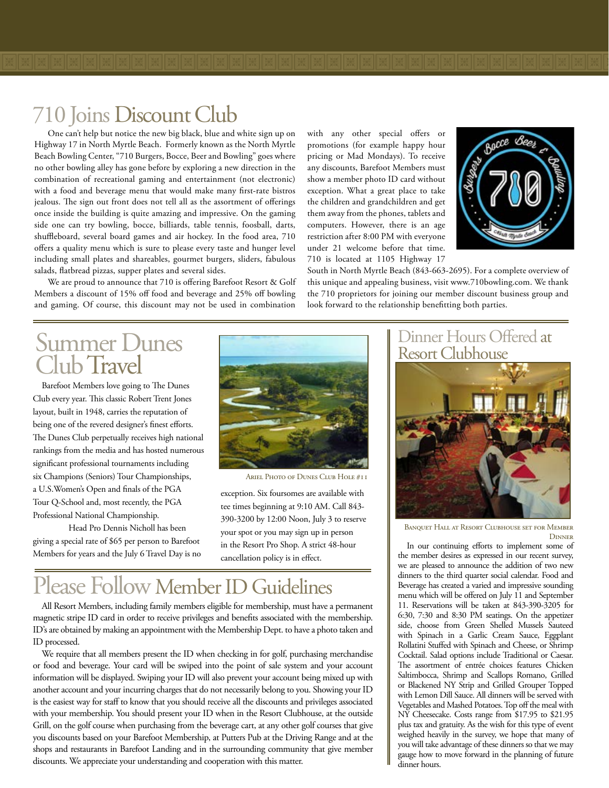One can't help but notice the new big black, blue and white sign up on Highway 17 in North Myrtle Beach. Formerly known as the North Myrtle Beach Bowling Center, "710 Burgers, Bocce, Beer and Bowling" goes where no other bowling alley has gone before by exploring a new direction in the combination of recreational gaming and entertainment (not electronic) with a food and beverage menu that would make many first-rate bistros jealous. The sign out front does not tell all as the assortment of offerings once inside the building is quite amazing and impressive. On the gaming side one can try bowling, bocce, billiards, table tennis, foosball, darts, shuffleboard, several board games and air hockey. In the food area, 710 offers a quality menu which is sure to please every taste and hunger level including small plates and shareables, gourmet burgers, sliders, fabulous salads, flatbread pizzas, supper plates and several sides.

We are proud to announce that 710 is offering Barefoot Resort & Golf Members a discount of 15% off food and beverage and 25% off bowling and gaming. Of course, this discount may not be used in combination

with any other special offers or promotions (for example happy hour pricing or Mad Mondays). To receive any discounts, Barefoot Members must show a member photo ID card without exception. What a great place to take the children and grandchildren and get them away from the phones, tablets and computers. However, there is an age restriction after 8:00 PM with everyone under 21 welcome before that time. 710 is located at 1105 Highway 17



South in North Myrtle Beach (843-663-2695). For a complete overview of this unique and appealing business, visit www.710bowling.com. We thank the 710 proprietors for joining our member discount business group and look forward to the relationship benefitting both parties.

## Summer Dunes Club Travel

Barefoot Members love going to The Dunes Club every year. This classic Robert Trent Jones layout, built in 1948, carries the reputation of being one of the revered designer's finest efforts. The Dunes Club perpetually receives high national rankings from the media and has hosted numerous significant professional tournaments including six Champions (Seniors) Tour Championships, a U.S.Women's Open and finals of the PGA Tour Q-School and, most recently, the PGA Professional National Championship.

Head Pro Dennis Nicholl has been giving a special rate of \$65 per person to Barefoot Members for years and the July 6 Travel Day is no



Ariel Photo of Dunes Club Hole #11

exception. Six foursomes are available with tee times beginning at 9:10 AM. Call 843- 390-3200 by 12:00 Noon, July 3 to reserve your spot or you may sign up in person in the Resort Pro Shop. A strict 48-hour cancellation policy is in effect.

## Please Follow Member ID Guidelines

All Resort Members, including family members eligible for membership, must have a permanent magnetic stripe ID card in order to receive privileges and benefits associated with the membership. ID's are obtained by making an appointment with the Membership Dept. to have a photo taken and ID processed.

We require that all members present the ID when checking in for golf, purchasing merchandise or food and beverage. Your card will be swiped into the point of sale system and your account information will be displayed. Swiping your ID will also prevent your account being mixed up with another account and your incurring charges that do not necessarily belong to you. Showing your ID is the easiest way for staff to know that you should receive all the discounts and privileges associated with your membership. You should present your ID when in the Resort Clubhouse, at the outside Grill, on the golf course when purchasing from the beverage cart, at any other golf courses that give you discounts based on your Barefoot Membership, at Putters Pub at the Driving Range and at the shops and restaurants in Barefoot Landing and in the surrounding community that give member discounts. We appreciate your understanding and cooperation with this matter.

## Dinner Hours Offered at Resort Clubhouse



Banquet Hall at Resort Clubhouse set for Member **DINNER** 

In our continuing efforts to implement some of the member desires as expressed in our recent survey, we are pleased to announce the addition of two new dinners to the third quarter social calendar. Food and Beverage has created a varied and impressive sounding menu which will be offered on July 11 and September 11. Reservations will be taken at 843-390-3205 for 6:30, 7:30 and 8:30 PM seatings. On the appetizer side, choose from Green Shelled Mussels Sauteed with Spinach in a Garlic Cream Sauce, Eggplant Rollatini Stuffed with Spinach and Cheese, or Shrimp Cocktail. Salad options include Traditional or Caesar. The assortment of entrée choices features Chicken Saltimbocca, Shrimp and Scallops Romano, Grilled or Blackened NY Strip and Grilled Grouper Topped with Lemon Dill Sauce. All dinners will be served with Vegetables and Mashed Potatoes. Top off the meal with NY Cheesecake. Costs range from \$17.95 to \$21.95 plus tax and gratuity. As the wish for this type of event weighed heavily in the survey, we hope that many of you will take advantage of these dinners so that we may gauge how to move forward in the planning of future dinner hours.